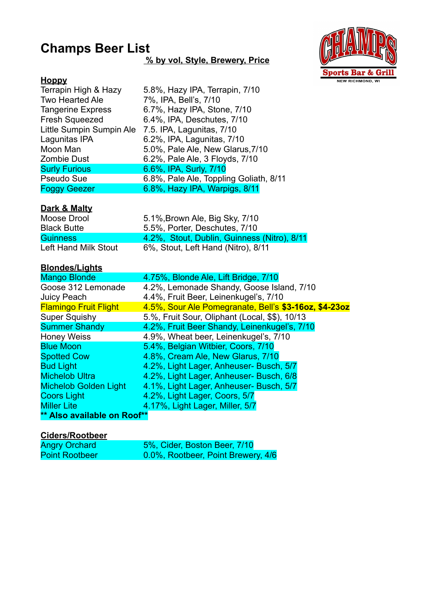# **Champs Beer List**

### **% by vol, Style, Brewery, Price**



# **Hoppy**

| 5.8%, Hazy IPA, Terrapin, 7/10                     |
|----------------------------------------------------|
| 7%, IPA, Bell's, 7/10                              |
| 6.7%, Hazy IPA, Stone, 7/10                        |
| 6.4%, IPA, Deschutes, 7/10                         |
| Little Sumpin Sumpin Ale 7.5. IPA, Lagunitas, 7/10 |
| 6.2%, IPA, Lagunitas, 7/10                         |
| 5.0%, Pale Ale, New Glarus, 7/10                   |
| 6.2%, Pale Ale, 3 Floyds, 7/10                     |
| 6.6%, IPA, Surly, 7/10                             |
| 6.8%, Pale Ale, Toppling Goliath, 8/11             |
| 6.8%, Hazy IPA, Warpigs, 8/11                      |
|                                                    |

### **Dark & Malty**

| Moose Drool          | 5.1%, Brown Ale, Big Sky, 7/10              |
|----------------------|---------------------------------------------|
| <b>Black Butte</b>   | 5.5%, Porter, Deschutes, 7/10               |
| <b>Guinness</b>      | 4.2%, Stout, Dublin, Guinness (Nitro), 8/11 |
| Left Hand Milk Stout | 6%, Stout, Left Hand (Nitro), 8/11          |

## **Blondes/Lights**

| <b>Mango Blonde</b>          | 4.75%, Blonde Ale, Lift Bridge, 7/10                  |
|------------------------------|-------------------------------------------------------|
| Goose 312 Lemonade           | 4.2%, Lemonade Shandy, Goose Island, 7/10             |
| Juicy Peach                  | 4.4%, Fruit Beer, Leinenkugel's, 7/10                 |
| <b>Flamingo Fruit Flight</b> | 4.5%, Sour Ale Pomegranate, Bell's \$3-16oz, \$4-23oz |
| <b>Super Squishy</b>         | 5.%, Fruit Sour, Oliphant (Local, \$\$), 10/13        |
| <b>Summer Shandy</b>         | 4.2%, Fruit Beer Shandy, Leinenkugel's, 7/10          |
| <b>Honey Weiss</b>           | 4.9%, Wheat beer, Leinenkugel's, 7/10                 |
| <b>Blue Moon</b>             | 5.4%, Belgian Witbier, Coors, 7/10                    |
| <b>Spotted Cow</b>           | 4.8%, Cream Ale, New Glarus, 7/10                     |
| <b>Bud Light</b>             | 4.2%, Light Lager, Anheuser- Busch, 5/7               |
| <b>Michelob Ultra</b>        | 4.2%, Light Lager, Anheuser- Busch, 6/8               |
| <b>Michelob Golden Light</b> | 4.1%, Light Lager, Anheuser- Busch, 5/7               |
| <b>Coors Light</b>           | 4.2%, Light Lager, Coors, 5/7                         |
| <b>Miller Lite</b>           | 4.17%, Light Lager, Miller, 5/7                       |
| ** Also available on Roof**  |                                                       |

#### **Ciders/Rootbeer**

| <b>Angry Orchard</b>  | 5%, Cider, Boston Beer, 7/10       |
|-----------------------|------------------------------------|
| <b>Point Rootbeer</b> | 0.0%, Rootbeer, Point Brewery, 4/6 |